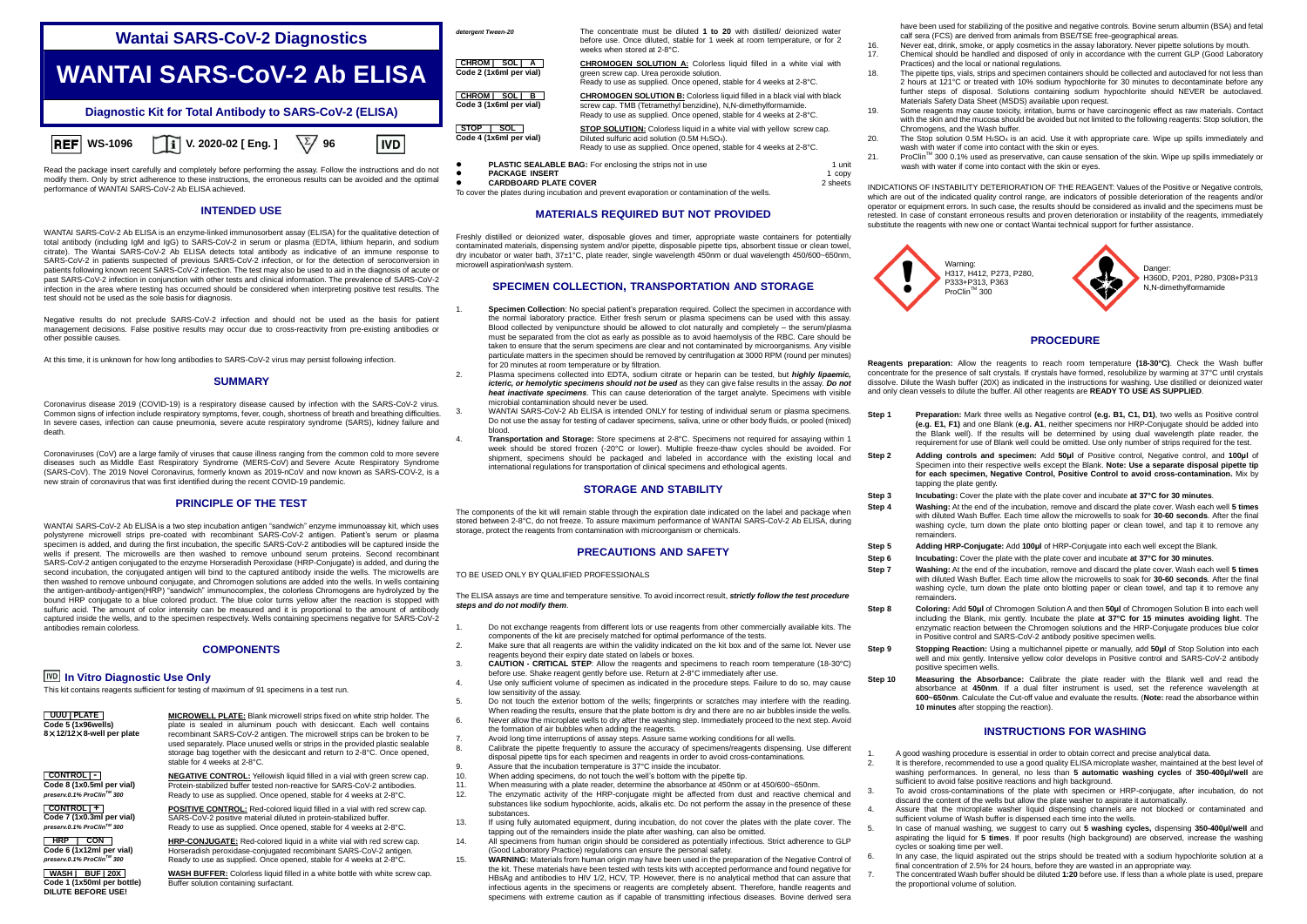# **Wantai SARS-CoV-2 Diagnostics**



Read the package insert carefully and completely before performing the assay. Follow the instructions and do not modify them. Only by strict adherence to these instructions, the erroneous results can be avoided and the optimal performance of WANTAI SARS-CoV-2 Ab ELISA achieved.

### **INTENDED USE**

WANTAI SARS-CoV-2 Ab ELISA is an enzyme-linked immunosorbent assay (ELISA) for the qualitative detection of total antibody (including IgM and IgG) to SARS-CoV-2 in serum or plasma (EDTA, lithium heparin, and sodium citrate). The Wantai SARS-CoV-2 Ab ELISA detects total antibody as indicative of an immune response to SARS-CoV-2 in patients suspected of previous SARS-CoV-2 infection, or for the detection of seroconversion in patients following known recent SARS-CoV-2 infection. The test may also be used to aid in the diagnosis of acute or past SARS-CoV-2 infection in conjunction with other tests and clinical information. The prevalence of SARS-CoV-2 infection in the area where testing has occurred should be considered when interpreting positive test results. The test should not be used as the sole basis for diagnosis.

Negative results do not preclude SARS-CoV-2 infection and should not be used as the basis for patient management decisions. False positive results may occur due to cross-reactivity from pre-existing antibodies or other possible causes.

At this time, it is unknown for how long antibodies to SARS-CoV-2 virus may persist following infection.

## **SUMMARY**

Coronavirus disease 2019 (COVID-19) is a respiratory disease caused by infection with the SARS-CoV-2 virus. Common signs of infection include respiratory symptoms, fever, cough, shortness of breath and breathing difficulties. In severe cases, infection can cause pneumonia, severe acute respiratory syndrome (SARS), kidney failure and death.

Coronaviruses (CoV) are a large family of viruses that cause illness ranging from the common cold to more severe diseases such as [Middle East Respiratory Syndrome \(MERS-CoV\)](https://www.who.int/emergencies/mers-cov/en/) and [Severe Acute Respiratory Syndrome](https://www.who.int/csr/sars/en/)  [\(SARS-CoV\).](https://www.who.int/csr/sars/en/) The 2019 Novel Coronavirus, formerly known as 2019-nCoV and now known as SARS-COV-2, is a new strain of coronavirus that was first identified during the recent COVID-19 pandemic.

## **PRINCIPLE OF THE TEST**

WANTAI SARS-CoV-2 Ab ELISA is a two step incubation antigen "sandwich" enzyme immunoassay kit, which uses polystyrene microwell strips pre-coated with recombinant SARS-CoV-2 antigen. Patient's serum or plasma specimen is added, and during the first incubation, the specific SARS-CoV-2 antibodies will be captured inside the wells if present. The microwells are then washed to remove unbound serum proteins. Second recombinant SARS-CoV-2 antigen conjugated to the enzyme Horseradish Peroxidase (HRP-Conjugate) is added, and during the second incubation, the conjugated antigen will bind to the captured antibody inside the wells. The microwells are then washed to remove unbound conjugate, and Chromogen solutions are added into the wells. In wells containing the antigen-antibody-antigen(HRP) "sandwich" immunocomplex, the colorless Chromogens are hydrolyzed by the bound HRP conjugate to a blue colored product. The blue color turns yellow after the reaction is stopped with sulfuric acid. The amount of color intensity can be measured and it is proportional to the amount of antibody captured inside the wells, and to the specimen respectively. Wells containing specimens negative for SARS-CoV-2 antibodies remain colorless.

### **COMPONENTS**

## **In Vitro Diagnostic Use Only**

This kit contains reagents sufficient for testing of maximum of 91 specimens in a test run.

**UUUU | PLATE Code 5 (1x96wells) 8**×**12/12**×**8-well per plate**

**CONTROL | - Code 8 (1x0.5ml per vial)** *preserv.0.1% ProClinTM 300*

**CONTROL | + Code 7 (1x0.3ml per vial)** *preserv.0.1% ProClinTM 300*

**B HRP | CON Code 6 (1x12ml per vial)** *preserv.0.1% ProClinTM 300*

plate is sealed in aluminum pouch with desiccant. Each well contains recombinant SARS-CoV-2 antigen. The microwell strips can be broken to be used separately. Place unused wells or strips in the provided plastic sealable storage bag together with the desiccant and return to 2-8°C. Once opened, stable for 4 weeks at 2-8°C.

Protein-stabilized buffer tested non-reactive for SARS-CoV-2 antibodies. Ready to use as supplied. Once opened, stable for 4 weeks at 2-8°C.

SARS-CoV-2 positive material diluted in protein-stabilized buffer. Ready to use as supplied. Once opened, stable for 4 weeks at 2-8°C.

Horseradish peroxidase-conjugated recombinant SARS-CoV-2 antigen. Ready to use as supplied. Once opened, stable for 4 weeks at 2-8°C.

Buffer solution containing surfactant.

*detergent Tween-20* The concentrate must be diluted **1 to 20** with distilled/ deionized water before use. Once diluted, stable for 1 week at room temperature, or for 2 weeks when stored at 2-8°C.

**CHROM | SOL | A Code 2 (1x6ml per vial) CHROMOGEN SOLUTION A:** Colorless liquid filled in a white vial with green screw cap. Urea peroxide solution. Ready to use as supplied. Once opened, stable for 4 weeks at 2-8°C.

> **CHROMOGEN SOLUTION B:** Colorless liquid filled in a black vial with black screw cap. TMB (Tetramethyl benzidine), N,N-dimethylformamide. Ready to use as supplied. Once opened, stable for 4 weeks at 2-8°C.

**STOP SOLUTION:** Colorless liquid in a white vial with yellow screw cap. Diluted sulfuric acid solution  $(0.5M H<sub>2</sub>SO<sub>4</sub>)$ . Ready to use as supplied. Once opened, stable for 4 weeks at 2-8°C.

- **PLASTIC SEALABLE BAG:** For enclosing the strips not in use **1** 1 unit **PACKAGE INSERT** 1 conv
- **PACKAGE INSERT** 1 copy<br> **PACKAGE INSERT** 1 copy<br> **CARDBO ARD PLATE COVER**

**CHROM | SOL | B Code 3 (1x6ml per vial)**

**, STOP | SOL Code 4 (1x6ml per vial)**

**IVD** 

**CARDBOARD PLATE COVER** 2 sheets To cover the plates during incubation and prevent evaporation or contamination of the wells.

#### **MATERIALS REQUIRED BUT NOT PROVIDED**

Freshly distilled or deionized water, disposable gloves and timer, appropriate waste containers for potentially contaminated materials, dispensing system and/or pipette, disposable pipette tips, absorbent tissue or clean towel, dry incubator or water bath, 37±1°C, plate reader, single wavelength 450nm or dual wavelength 450/600~650nm, microwell aspiration/wash system.

### **SPECIMEN COLLECTION, TRANSPORTATION AND STORAGE**

- 1. **Specimen Collection**: No special patient's preparation required. Collect the specimen in accordance with the normal laboratory practice. Either fresh serum or plasma specimens can be used with this assay. Blood collected by venipuncture should be allowed to clot naturally and completely – the serum/plasma must be separated from the clot as early as possible as to avoid haemolysis of the RBC. Care should be taken to ensure that the serum specimens are clear and not contaminated by microorganisms. Any visible particulate matters in the specimen should be removed by centrifugation at 3000 RPM (round per minutes) for 20 minutes at room temperature or by filtration.
- 2. Plasma specimens collected into EDTA, sodium citrate or heparin can be tested, but *highly lipaemic, icteric, or hemolytic specimens should not be used* as they can give false results in the assay. *Do not heat inactivate specimens*. This can cause deterioration of the target analyte. Specimens with visible microbial contamination should never be used.
	- WANTAI SARS-CoV-2 Ab ELISA is intended ONLY for testing of individual serum or plasma specimens. Do not use the assay for testing of cadaver specimens, saliva, urine or other body fluids, or pooled (mixed) blood.
- 4. **Transportation and Storage:** Store specimens at 2-8°C. Specimens not required for assaying within 1 week should be stored frozen (-20°C or lower). Multiple freeze-thaw cycles should be avoided. For shipment, specimens should be packaged and labeled in accordance with the existing local and international regulations for transportation of clinical specimens and ethological agents.

### **STORAGE AND STABILITY**

The components of the kit will remain stable through the expiration date indicated on the label and package when stored between 2-8°C, do not freeze. To assure maximum performance of WANTAI SARS-CoV-2 Ab ELISA, during storage, protect the reagents from contamination with microorganism or chemicals.

## **PRECAUTIONS AND SAFETY**

TO BE USED ONLY BY QUALIFIED PROFESSIONALS

The ELISA assays are time and temperature sensitive. To avoid incorrect result, *strictly follow the test procedure steps and do not modify them*.

- 1. Do not exchange reagents from different lots or use reagents from other commercially available kits. The components of the kit are precisely matched for optimal performance of the tests.
- 2. Make sure that all reagents are within the validity indicated on the kit box and of the same lot. Never use reagents beyond their expiry date stated on labels or boxes.
- 3. **CAUTION - CRITICAL STEP**: Allow the reagents and specimens to reach room temperature (18-30°C) before use. Shake reagent gently before use. Return at 2-8°C immediately after use.
- 4. Use only sufficient volume of specimen as indicated in the procedure steps. Failure to do so, may cause low sensitivity of the assay.
- 5. Do not touch the exterior bottom of the wells; fingerprints or scratches may interfere with the reading. When reading the results, ensure that the plate bottom is dry and there are no air bubbles inside the wells.
- 6. Never allow the microplate wells to dry after the washing step. Immediately proceed to the next step. Avoid the formation of air bubbles when adding the reagents.
- 
- 7. Avoid long time interruptions of assay steps. Assure same working conditions for all wells. Calibrate the pipette frequently to assure the accuracy of specimens/reagents dispensing. Use different disposal pipette tips for each specimen and reagents in order to avoid cross-contaminations.
- 9. Assure that the incubation temperature is  $37^{\circ}$ C inside the incubator.
- 10. When adding specimens, do not touch the well's bottom with the pipette tip.<br>11 When measuring with a plate reader determine the absorbance at 450nm of
- 11. When measuring with a plate reader, determine the absorbance at 450.000 m or at 450/600 ~650nm.<br>12. The opzymenic activity of the HPB-conjugate might be affected from dust and reactive cher 12. The enzymatic activity of the HRP-conjugate might be affected from dust and reactive chemical and substances like sodium hypochlorite, acids, alkalis etc. Do not perform the assay in the presence of these substances.
- 13. If using fully automated equipment, during incubation, do not cover the plates with the plate cover. The tapping out of the remainders inside the plate after washing, can also be omitted.
- 14. All specimens from human origin should be considered as potentially infectious. Strict adherence to GLP (Good Laboratory Practice) regulations can ensure the personal safety.
- **WARNING:** Materials from human origin may have been used in the preparation of the Negative Control of the WARNING: Materials from human origin may have been used in the preparation of the Negative Control of the kit. These materials have been tested with tests kits with accepted performance and found negative for HBsAg and antibodies to HIV 1/2, HCV, TP. However, there is no analytical method that can assure that infectious agents in the specimens or reagents are completely absent. Therefore, handle reagents and specimens with extreme caution as if capable of transmitting infectious diseases. Bovine derived sera

have been used for stabilizing of the positive and negative controls. Bovine serum albumin (BSA) and fetal calf sera (FCS) are derived from animals from BSE/TSE free-geographical areas.

- 16. Never eat, drink, smoke, or apply cosmetics in the assay laboratory. Never pipette solutions by mouth.<br>17. Chamical should be bandled and disposed of only in accordance with the current GLP (Good Laboratory)
- 17. Chemical should be handled and disposed of only in accordance with the current GLP (Good Laboratory Practices) and the local or national regulations.
- 18. The pipette tips, vials, strips and specimen containers should be collected and autoclaved for not less than 2 hours at 121°C or treated with 10% sodium hypochlorite for 30 minutes to decontaminate before any further steps of disposal. Solutions containing sodium hypochlorite should NEVER be autoclaved. Materials Safety Data Sheet (MSDS) available upon request.
- 19. Some reagents may cause toxicity, irritation, burns or have carcinogenic effect as raw materials. Contact with the skin and the mucosa should be avoided but not limited to the following reagents: Stop solution, the Chromogens, and the Wash buffer.
- 20. The Stop solution  $0.5M H<sub>2</sub>SO<sub>4</sub>$  is an acid. Use it with appropriate care. Wipe up spills immediately and wash with water if come into contact with the skin or eyes.
- 21. ProClinTM 300 0.1% used as preservative, can cause sensation of the skin. Wipe up spills immediately or wash with water if come into contact with the skin or eyes.

INDICATIONS OF INSTABILITY DETERIORATION OF THE REAGENT: Values of the Positive or Negative controls, which are out of the indicated quality control range, are indicators of possible deterioration of the reagents and/or operator or equipment errors. In such case, the results should be considered as invalid and the specimens must be retested. In case of constant erroneous results and proven deterioration or instability of the reagents, immediately substitute the reagents with new one or contact Wantai technical support for further assistance.



## **PROCEDURE**

**Reagents preparation:** Allow the reagents to reach room temperature **(18-30°C)**. Check the Wash buffer concentrate for the presence of salt crystals. If crystals have formed, resolubilize by warming at 37°C until crystals dissolve. Dilute the Wash buffer (20X) as indicated in the instructions for washing. Use distilled or deionized water and only clean vessels to dilute the buffer. All other reagents are **READY TO USE AS SUPPLIED**.

- **Step 1 Preparation:** Mark three wells as Negative control **(e.g. B1, C1, D1)**, two wells as Positive control **(e.g. E1, F1)** and one Blank (**e.g. A1**, neither specimens nor HRP-Conjugate should be added into the Blank well). If the results will be determined by using dual wavelength plate reader, the requirement for use of Blank well could be omitted. Use only number of strips required for the test.
- **Step 2 Adding controls and specimen:** Add **50μl** of Positive control, Negative control, and **100μl** of Specimen into their respective wells except the Blank. **Note: Use a separate disposal pipette tip for each specimen, Negative Control, Positive Control to avoid cross-contamination.** Mix by tapping the plate gently.
- **Step 3 Incubating:** Cover the plate with the plate cover and incubate **at 37°C for 30 minutes**.
- **Step 4 Washing:** At the end of the incubation, remove and discard the plate cover. Wash each well **5 times** with diluted Wash Buffer. Each time allow the microwells to soak for **30-60 seconds**. After the final washing cycle, turn down the plate onto blotting paper or clean towel, and tap it to remove any remainders.
- **Step 5 Adding HRP-Conjugate:** Add **100μl** of HRP-Conjugate into each well except the Blank.
- **Step 6 Incubating:** Cover the plate with the plate cover and incubate **at 37°C for 30 minutes**.
- **Step 7 Washing:** At the end of the incubation, remove and discard the plate cover. Wash each well **5 times** with diluted Wash Buffer. Each time allow the microwells to soak for **30-60 seconds**. After the final washing cycle, turn down the plate onto blotting paper or clean towel, and tap it to remove any remainders.
- **Step 8 Coloring:** Add **50μl** of Chromogen Solution A and then **50μl** of Chromogen Solution B into each well including the Blank, mix gently. Incubate the plate **at 37°C for 15 minutes avoiding light**. The enzymatic reaction between the Chromogen solutions and the HRP-Conjugate produces blue color in Positive control and SARS-CoV-2 antibody positive specimen wells.
- **Step 9 <b>Stopping Reaction:** Using a multichannel pipette or manually, add **50µl** of Stop Solution into each well and mix gently. Intensive yellow color develops in Positive control and SARS-CoV-2 antibody positive specimen wells.
- **Step 10 Measuring the Absorbance:** Calibrate the plate reader with the Blank well and read the absorbance at **450nm**. If a dual filter instrument is used, set the reference wavelength at **600~650nm**. Calculate the Cut-off value and evaluate the results. (**Note:** read the absorbance within **10 minutes** after stopping the reaction).

## **INSTRUCTIONS FOR WASHING**

- 1. A good washing procedure is essential in order to obtain correct and precise analytical data.
- 2. It is therefore, recommended to use a good quality ELISA microplate washer, maintained at the best level of washing performances. In general, no less than **5 automatic washing cycles** of **350-400μl/well** are sufficient to avoid false positive reactions and high background.
- 3. To avoid cross-contaminations of the plate with specimen or HRP-conjugate, after incubation, do not discard the content of the wells but allow the plate washer to aspirate it automatically.
- 4. Assure that the microplate washer liquid dispensing channels are not blocked or contaminated and sufficient volume of Wash buffer is dispensed each time into the wells.
- 5. In case of manual washing, we suggest to carry out **5 washing cycles,** dispensing **350-400μl/well** and aspirating the liquid for **5 times**. If poor results (high background) are observed, increase the washing cycles or soaking time per well.
- 6. In any case, the liquid aspirated out the strips should be treated with a sodium hypochlorite solution at a final concentration of 2.5% for 24 hours, before they are wasted in an appropriate way.
- 7. The concentrated Wash buffer should be diluted **1:20** before use. If less than a whole plate is used, prepare the proportional volume of solution.

**bWASH | BUF | 20X Code 1 (1x50ml per bottle) DILUTE BEFORE USE!**



**NEGATIVE CONTROL:** Yellowish liquid filled in a vial with green screw cap.

**POSITIVE CONTROL:** Red-colored liquid filled in a vial with red screw cap.

**HRP-CONJUGATE:** Red-colored liquid in a white vial with red screw cap.

**WASH BUFFER:** Colorless liquid filled in a white bottle with white screw cap.